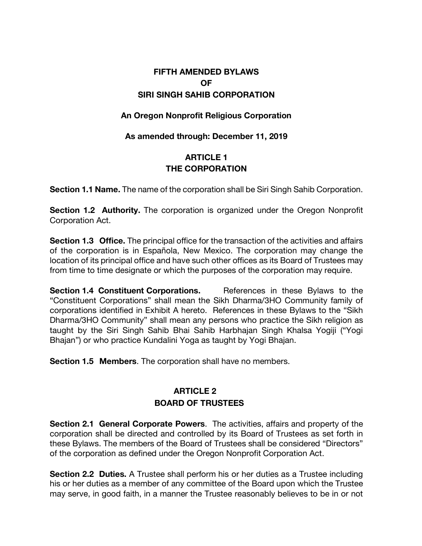# **FIFTH AMENDED BYLAWS OF SIRI SINGH SAHIB CORPORATION**

#### **An Oregon Nonprofit Religious Corporation**

#### **As amended through: December 11, 2019**

### **ARTICLE 1 THE CORPORATION**

**Section 1.1 Name.** The name of the corporation shall be Siri Singh Sahib Corporation.

**Section 1.2 Authority.** The corporation is organized under the Oregon Nonprofit Corporation Act.

**Section 1.3 Office.** The principal office for the transaction of the activities and affairs of the corporation is in Española, New Mexico. The corporation may change the location of its principal office and have such other offices as its Board of Trustees may from time to time designate or which the purposes of the corporation may require.

**Section 1.4 Constituent Corporations.** References in these Bylaws to the "Constituent Corporations" shall mean the Sikh Dharma/3HO Community family of corporations identified in Exhibit A hereto. References in these Bylaws to the "Sikh Dharma/3HO Community" shall mean any persons who practice the Sikh religion as taught by the Siri Singh Sahib Bhai Sahib Harbhajan Singh Khalsa Yogiji ("Yogi Bhajan") or who practice Kundalini Yoga as taught by Yogi Bhajan.

**Section 1.5 Members**. The corporation shall have no members.

### **ARTICLE 2 BOARD OF TRUSTEES**

**Section 2.1 General Corporate Powers**. The activities, affairs and property of the corporation shall be directed and controlled by its Board of Trustees as set forth in these Bylaws. The members of the Board of Trustees shall be considered "Directors" of the corporation as defined under the Oregon Nonprofit Corporation Act.

**Section 2.2 Duties.** A Trustee shall perform his or her duties as a Trustee including his or her duties as a member of any committee of the Board upon which the Trustee may serve, in good faith, in a manner the Trustee reasonably believes to be in or not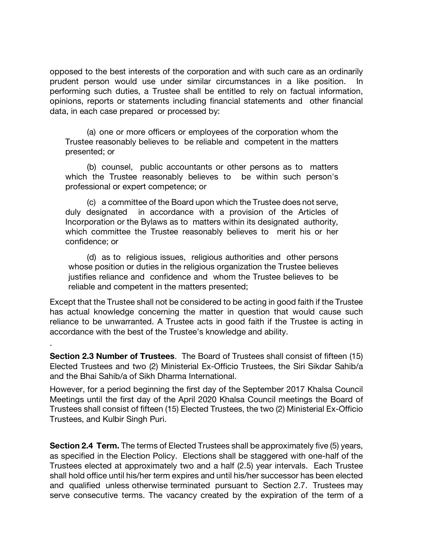opposed to the best interests of the corporation and with such care as an ordinarily prudent person would use under similar circumstances in a like position. In performing such duties, a Trustee shall be entitled to rely on factual information, opinions, reports or statements including financial statements and other financial data, in each case prepared or processed by:

(a) one or more officers or employees of the corporation whom the Trustee reasonably believes to be reliable and competent in the matters presented; or

(b) counsel, public accountants or other persons as to matters which the Trustee reasonably believes to be within such person's professional or expert competence; or

(c) a committee of the Board upon which the Trustee does not serve, duly designated in accordance with a provision of the Articles of Incorporation or the Bylaws as to matters within its designated authority, which committee the Trustee reasonably believes to merit his or her confidence; or

(d) as to religious issues, religious authorities and other persons whose position or duties in the religious organization the Trustee believes justifies reliance and confidence and whom the Trustee believes to be reliable and competent in the matters presented;

Except that the Trustee shall not be considered to be acting in good faith if the Trustee has actual knowledge concerning the matter in question that would cause such reliance to be unwarranted. A Trustee acts in good faith if the Trustee is acting in accordance with the best of the Trustee's knowledge and ability.

**Section 2.3 Number of Trustees**. The Board of Trustees shall consist of fifteen (15) Elected Trustees and two (2) Ministerial Ex-Officio Trustees, the Siri Sikdar Sahib/a and the Bhai Sahib/a of Sikh Dharma International.

.

However, for a period beginning the first day of the September 2017 Khalsa Council Meetings until the first day of the April 2020 Khalsa Council meetings the Board of Trustees shall consist of fifteen (15) Elected Trustees, the two (2) Ministerial Ex-Officio Trustees, and Kulbir Singh Puri.

**Section 2.4 Term.** The terms of Elected Trustees shall be approximately five (5) years, as specified in the Election Policy. Elections shall be staggered with one-half of the Trustees elected at approximately two and a half (2.5) year intervals. Each Trustee shall hold office until his/her term expires and until his/her successor has been elected and qualified unless otherwise terminated pursuant to Section 2.7. Trustees may serve consecutive terms. The vacancy created by the expiration of the term of a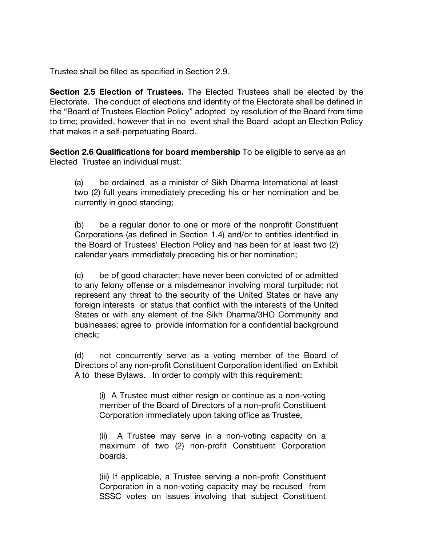Trustee shall be filled as specified in Section 2.9.

**Section 2.5 Election of Trustees.** The Elected Trustees shall be elected by the Electorate. The conduct of elections and identity of the Electorate shall be defined in the "Board of Trustees Election Policy" adopted by resolution of the Board from time to time; provided, however that in no event shall the Board adopt an Election Policy that makes it a self-perpetuating Board.

**Section 2.6 Qualifications for board membership** To be eligible to serve as an Elected Trustee an individual must:

(a) be ordained as a minister of Sikh Dharma International at least two (2) full years immediately preceding his or her nomination and be currently in good standing;

(b) be a regular donor to one or more of the nonprofit Constituent Corporations (as defined in Section 1.4) and/or to entities identified in the Board of Trustees' Election Policy and has been for at least two (2) calendar years immediately preceding his or her nomination;

(c) be of good character; have never been convicted of or admitted to any felony offense or a misdemeanor involving moral turpitude; not represent any threat to the security of the United States or have any foreign interests or status that conflict with the interests of the United States or with any element of the Sikh Dharma/3HO Community and businesses; agree to provide information for a confidential background check;

(d) not concurrently serve as a voting member of the Board of Directors of any non-profit Constituent Corporation identified on Exhibit A to these Bylaws. In order to comply with this requirement:

(i) A Trustee must either resign or continue as a non-voting member of the Board of Directors of a non-profit Constituent Corporation immediately upon taking office as Trustee,

(ii) A Trustee may serve in a non-voting capacity on a maximum of two (2) non-profit Constituent Corporation boards.

(iii) If applicable, a Trustee serving a non-profit Constituent Corporation in a non-voting capacity may be recused from SSSC votes on issues involving that subject Constituent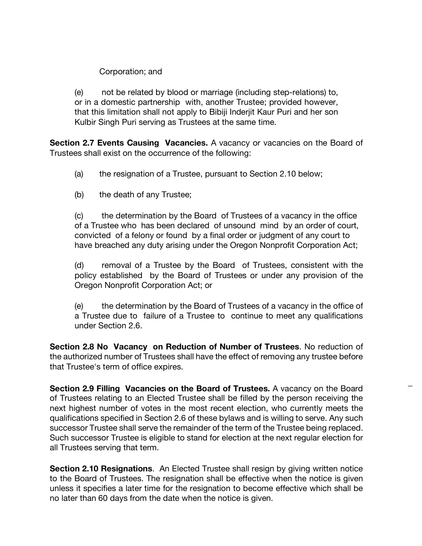Corporation; and

(e) not be related by blood or marriage (including step-relations) to, or in a domestic partnership with, another Trustee; provided however, that this limitation shall not apply to Bibiji Inderjit Kaur Puri and her son Kulbir Singh Puri serving as Trustees at the same time.

**Section 2.7 Events Causing Vacancies.** A vacancy or vacancies on the Board of Trustees shall exist on the occurrence of the following:

- (a) the resignation of a Trustee, pursuant to Section 2.10 below;
- (b) the death of any Trustee;

(c) the determination by the Board of Trustees of a vacancy in the office of a Trustee who has been declared of unsound mind by an order of court, convicted of a felony or found by a final order or judgment of any court to have breached any duty arising under the Oregon Nonprofit Corporation Act;

(d) removal of a Trustee by the Board of Trustees, consistent with the policy established by the Board of Trustees or under any provision of the Oregon Nonprofit Corporation Act; or

(e) the determination by the Board of Trustees of a vacancy in the office of a Trustee due to failure of a Trustee to continue to meet any qualifications under Section 2.6.

**Section 2.8 No Vacancy on Reduction of Number of Trustees**. No reduction of the authorized number of Trustees shall have the effect of removing any trustee before that Trustee's term of office expires.

**Section 2.9 Filling Vacancies on the Board of Trustees.** A vacancy on the Board of Trustees relating to an Elected Trustee shall be filled by the person receiving the next highest number of votes in the most recent election, who currently meets the qualifications specified in Section 2.6 of these bylaws and is willing to serve. Any such successor Trustee shall serve the remainder of the term of the Trustee being replaced. Such successor Trustee is eligible to stand for election at the next regular election for all Trustees serving that term.

**Section 2.10 Resignations**. An Elected Trustee shall resign by giving written notice to the Board of Trustees. The resignation shall be effective when the notice is given unless it specifies a later time for the resignation to become effective which shall be no later than 60 days from the date when the notice is given.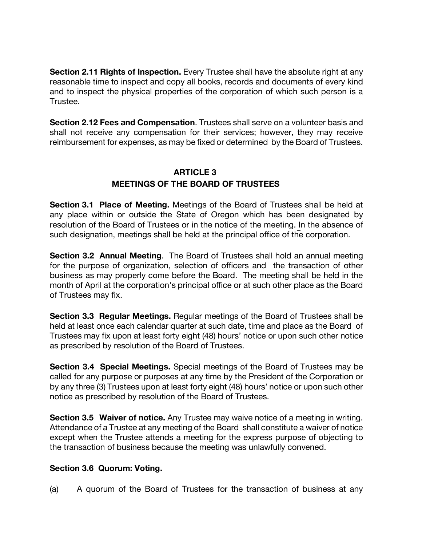**Section 2.11 Rights of Inspection.** Every Trustee shall have the absolute right at any reasonable time to inspect and copy all books, records and documents of every kind and to inspect the physical properties of the corporation of which such person is a Trustee.

**Section 2.12 Fees and Compensation**. Trustees shall serve on a volunteer basis and shall not receive any compensation for their services; however, they may receive reimbursement for expenses, as may be fixed or determined by the Board of Trustees.

### **ARTICLE 3 MEETINGS OF THE BOARD OF TRUSTEES**

**Section 3.1 Place of Meeting.** Meetings of the Board of Trustees shall be held at any place within or outside the State of Oregon which has been designated by resolution of the Board of Trustees or in the notice of the meeting. In the absence of such designation, meetings shall be held at the principal office of the corporation.

**Section 3.2 Annual Meeting**. The Board of Trustees shall hold an annual meeting for the purpose of organization, selection of officers and the transaction of other business as may properly come before the Board. The meeting shall be held in the month of April at the corporation's principal office or at such other place as the Board of Trustees may fix.

**Section 3.3 Regular Meetings.** Regular meetings of the Board of Trustees shall be held at least once each calendar quarter at such date, time and place as the Board of Trustees may fix upon at least forty eight (48) hours' notice or upon such other notice as prescribed by resolution of the Board of Trustees.

**Section 3.4 Special Meetings.** Special meetings of the Board of Trustees may be called for any purpose or purposes at any time by the President of the Corporation or by any three (3) Trustees upon at least forty eight (48) hours' notice or upon such other notice as prescribed by resolution of the Board of Trustees.

**Section 3.5 Waiver of notice.** Any Trustee may waive notice of a meeting in writing. Attendance of a Trustee at any meeting of the Board shall constitute a waiver of notice except when the Trustee attends a meeting for the express purpose of objecting to the transaction of business because the meeting was unlawfully convened.

### **Section 3.6 Quorum: Voting.**

(a) A quorum of the Board of Trustees for the transaction of business at any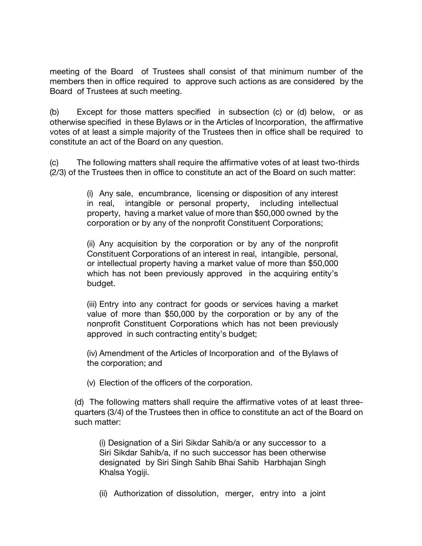meeting of the Board of Trustees shall consist of that minimum number of the members then in office required to approve such actions as are considered by the Board of Trustees at such meeting.

(b) Except for those matters specified in subsection (c) or (d) below, or as otherwise specified in these Bylaws or in the Articles of Incorporation, the affirmative votes of at least a simple majority of the Trustees then in office shall be required to constitute an act of the Board on any question.

(c) The following matters shall require the affirmative votes of at least two-thirds (2/3) of the Trustees then in office to constitute an act of the Board on such matter:

> (i) Any sale, encumbrance, licensing or disposition of any interest in real, intangible or personal property, including intellectual property, having a market value of more than \$50,000 owned by the corporation or by any of the nonprofit Constituent Corporations;

> (ii) Any acquisition by the corporation or by any of the nonprofit Constituent Corporations of an interest in real, intangible, personal, or intellectual property having a market value of more than \$50,000 which has not been previously approved in the acquiring entity's budget.

> (iii) Entry into any contract for goods or services having a market value of more than \$50,000 by the corporation or by any of the nonprofit Constituent Corporations which has not been previously approved in such contracting entity's budget;

> (iv) Amendment of the Articles of Incorporation and of the Bylaws of the corporation; and

(v) Election of the officers of the corporation.

(d) The following matters shall require the affirmative votes of at least threequarters (3/4) of the Trustees then in office to constitute an act of the Board on such matter:

(i) Designation of a Siri Sikdar Sahib/a or any successor to a Siri Sikdar Sahib/a, if no such successor has been otherwise designated by Siri Singh Sahib Bhai Sahib Harbhajan Singh Khalsa Yogiji.

(ii) Authorization of dissolution, merger, entry into a joint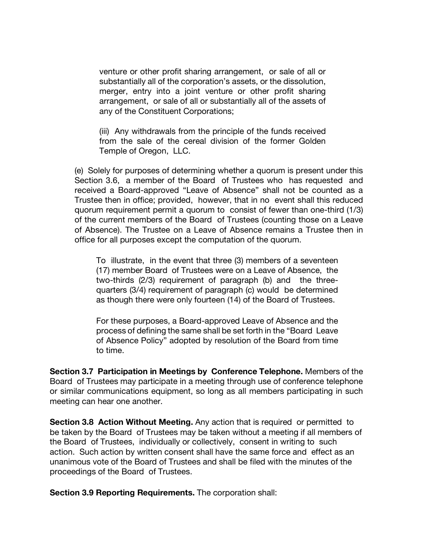venture or other profit sharing arrangement, or sale of all or substantially all of the corporation's assets, or the dissolution, merger, entry into a joint venture or other profit sharing arrangement, or sale of all or substantially all of the assets of any of the Constituent Corporations;

(iii) Any withdrawals from the principle of the funds received from the sale of the cereal division of the former Golden Temple of Oregon, LLC.

(e) Solely for purposes of determining whether a quorum is present under this Section 3.6, a member of the Board of Trustees who has requested and received a Board-approved "Leave of Absence" shall not be counted as a Trustee then in office; provided, however, that in no event shall this reduced quorum requirement permit a quorum to consist of fewer than one-third (1/3) of the current members of the Board of Trustees (counting those on a Leave of Absence). The Trustee on a Leave of Absence remains a Trustee then in office for all purposes except the computation of the quorum.

To illustrate, in the event that three (3) members of a seventeen (17) member Board of Trustees were on a Leave of Absence, the two-thirds (2/3) requirement of paragraph (b) and the threequarters (3/4) requirement of paragraph (c) would be determined as though there were only fourteen (14) of the Board of Trustees.

For these purposes, a Board-approved Leave of Absence and the process of defining the same shall be set forth in the "Board Leave of Absence Policy" adopted by resolution of the Board from time to time.

**Section 3.7 Participation in Meetings by Conference Telephone.** Members of the Board of Trustees may participate in a meeting through use of conference telephone or similar communications equipment, so long as all members participating in such meeting can hear one another.

**Section 3.8 Action Without Meeting.** Any action that is required or permitted to be taken by the Board of Trustees may be taken without a meeting if all members of the Board of Trustees, individually or collectively, consent in writing to such action. Such action by written consent shall have the same force and effect as an unanimous vote of the Board of Trustees and shall be filed with the minutes of the proceedings of the Board of Trustees.

**Section 3.9 Reporting Requirements.** The corporation shall: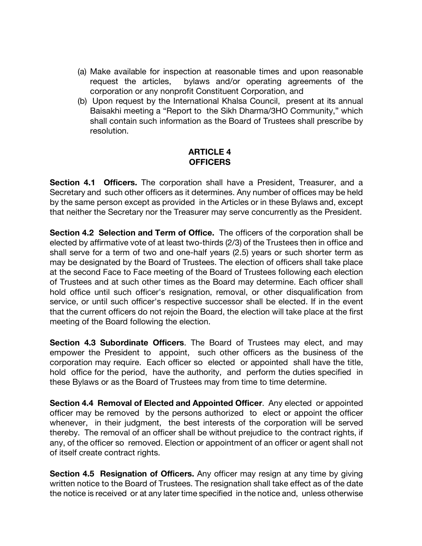- (a) Make available for inspection at reasonable times and upon reasonable request the articles, bylaws and/or operating agreements of the corporation or any nonprofit Constituent Corporation, and
- (b) Upon request by the International Khalsa Council, present at its annual Baisakhi meeting a "Report to the Sikh Dharma/3HO Community," which shall contain such information as the Board of Trustees shall prescribe by resolution.

#### **ARTICLE 4 OFFICERS**

**Section 4.1 Officers.** The corporation shall have a President, Treasurer, and a Secretary and such other officers as it determines. Any number of offices may be held by the same person except as provided in the Articles or in these Bylaws and, except that neither the Secretary nor the Treasurer may serve concurrently as the President.

**Section 4.2 Selection and Term of Office.** The officers of the corporation shall be elected by affirmative vote of at least two-thirds (2/3) of the Trustees then in office and shall serve for a term of two and one-half years (2.5) years or such shorter term as may be designated by the Board of Trustees. The election of officers shall take place at the second Face to Face meeting of the Board of Trustees following each election of Trustees and at such other times as the Board may determine. Each officer shall hold office until such officer's resignation, removal, or other disqualification from service, or until such officer's respective successor shall be elected. If in the event that the current officers do not rejoin the Board, the election will take place at the first meeting of the Board following the election.

**Section 4.3 Subordinate Officers**. The Board of Trustees may elect, and may empower the President to appoint, such other officers as the business of the corporation may require. Each officer so elected or appointed shall have the title, hold office for the period, have the authority, and perform the duties specified in these Bylaws or as the Board of Trustees may from time to time determine.

**Section 4.4 Removal of Elected and Appointed Officer**. Any elected or appointed officer may be removed by the persons authorized to elect or appoint the officer whenever, in their judgment, the best interests of the corporation will be served thereby. The removal of an officer shall be without prejudice to the contract rights, if any, of the officer so removed. Election or appointment of an officer or agent shall not of itself create contract rights.

**Section 4.5 Resignation of Officers.** Any officer may resign at any time by giving written notice to the Board of Trustees. The resignation shall take effect as of the date the notice is received or at any later time specified in the notice and, unless otherwise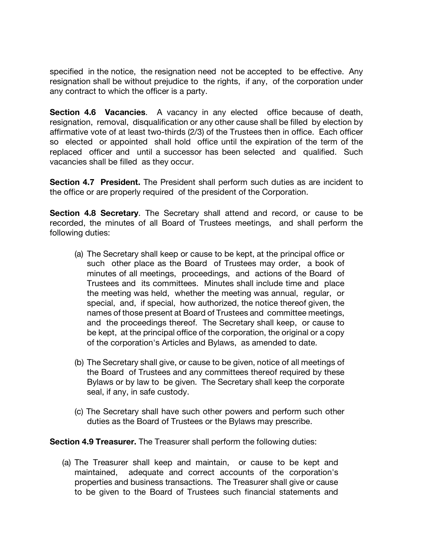specified in the notice, the resignation need not be accepted to be effective. Any resignation shall be without prejudice to the rights, if any, of the corporation under any contract to which the officer is a party.

**Section 4.6 Vacancies**. A vacancy in any elected office because of death, resignation, removal, disqualification or any other cause shall be filled by election by affirmative vote of at least two-thirds (2/3) of the Trustees then in office. Each officer so elected or appointed shall hold office until the expiration of the term of the replaced officer and until a successor has been selected and qualified. Such vacancies shall be filled as they occur.

**Section 4.7 President.** The President shall perform such duties as are incident to the office or are properly required of the president of the Corporation.

**Section 4.8 Secretary**. The Secretary shall attend and record, or cause to be recorded, the minutes of all Board of Trustees meetings, and shall perform the following duties:

- (a) The Secretary shall keep or cause to be kept, at the principal office or such other place as the Board of Trustees may order, a book of minutes of all meetings, proceedings, and actions of the Board of Trustees and its committees. Minutes shall include time and place the meeting was held, whether the meeting was annual, regular, or special, and, if special, how authorized, the notice thereof given, the names of those present at Board of Trustees and committee meetings, and the proceedings thereof. The Secretary shall keep, or cause to be kept, at the principal office of the corporation, the original or a copy of the corporation's Articles and Bylaws, as amended to date.
- (b) The Secretary shall give, or cause to be given, notice of all meetings of the Board of Trustees and any committees thereof required by these Bylaws or by law to be given. The Secretary shall keep the corporate seal, if any, in safe custody.
- (c) The Secretary shall have such other powers and perform such other duties as the Board of Trustees or the Bylaws may prescribe.

**Section 4.9 Treasurer.** The Treasurer shall perform the following duties:

(a) The Treasurer shall keep and maintain, or cause to be kept and maintained, adequate and correct accounts of the corporation's properties and business transactions. The Treasurer shall give or cause to be given to the Board of Trustees such financial statements and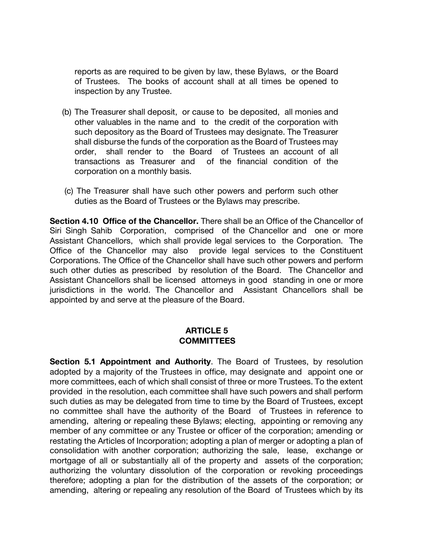reports as are required to be given by law, these Bylaws, or the Board of Trustees. The books of account shall at all times be opened to inspection by any Trustee.

- (b) The Treasurer shall deposit, or cause to be deposited, all monies and other valuables in the name and to the credit of the corporation with such depository as the Board of Trustees may designate. The Treasurer shall disburse the funds of the corporation as the Board of Trustees may order, shall render to the Board of Trustees an account of all transactions as Treasurer and of the financial condition of the corporation on a monthly basis.
- (c) The Treasurer shall have such other powers and perform such other duties as the Board of Trustees or the Bylaws may prescribe.

**Section 4.10 Office of the Chancellor.** There shall be an Office of the Chancellor of Siri Singh Sahib Corporation, comprised of the Chancellor and one or more Assistant Chancellors, which shall provide legal services to the Corporation. The Office of the Chancellor may also provide legal services to the Constituent Corporations. The Office of the Chancellor shall have such other powers and perform such other duties as prescribed by resolution of the Board. The Chancellor and Assistant Chancellors shall be licensed attorneys in good standing in one or more jurisdictions in the world. The Chancellor and Assistant Chancellors shall be appointed by and serve at the pleasure of the Board.

#### **ARTICLE 5 COMMITTEES**

**Section 5.1 Appointment and Authority**. The Board of Trustees, by resolution adopted by a majority of the Trustees in office, may designate and appoint one or more committees, each of which shall consist of three or more Trustees. To the extent provided in the resolution, each committee shall have such powers and shall perform such duties as may be delegated from time to time by the Board of Trustees, except no committee shall have the authority of the Board of Trustees in reference to amending, altering or repealing these Bylaws; electing, appointing or removing any member of any committee or any Trustee or officer of the corporation; amending or restating the Articles of Incorporation; adopting a plan of merger or adopting a plan of consolidation with another corporation; authorizing the sale, lease, exchange or mortgage of all or substantially all of the property and assets of the corporation; authorizing the voluntary dissolution of the corporation or revoking proceedings therefore; adopting a plan for the distribution of the assets of the corporation; or amending, altering or repealing any resolution of the Board of Trustees which by its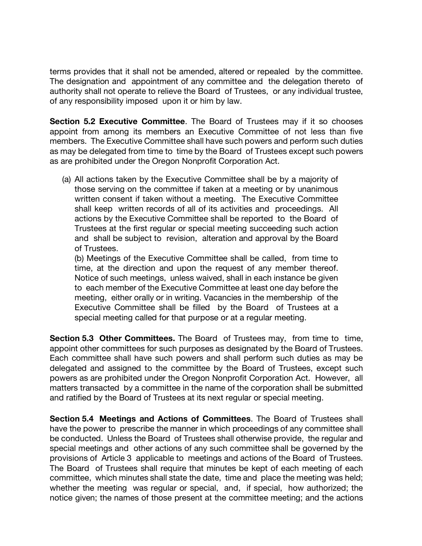terms provides that it shall not be amended, altered or repealed by the committee. The designation and appointment of any committee and the delegation thereto of authority shall not operate to relieve the Board of Trustees, or any individual trustee, of any responsibility imposed upon it or him by law.

**Section 5.2 Executive Committee**. The Board of Trustees may if it so chooses appoint from among its members an Executive Committee of not less than five members. The Executive Committee shall have such powers and perform such duties as may be delegated from time to time by the Board of Trustees except such powers as are prohibited under the Oregon Nonprofit Corporation Act.

(a) All actions taken by the Executive Committee shall be by a majority of those serving on the committee if taken at a meeting or by unanimous written consent if taken without a meeting. The Executive Committee shall keep written records of all of its activities and proceedings. All actions by the Executive Committee shall be reported to the Board of Trustees at the first regular or special meeting succeeding such action and shall be subject to revision, alteration and approval by the Board of Trustees.

(b) Meetings of the Executive Committee shall be called, from time to time, at the direction and upon the request of any member thereof. Notice of such meetings, unless waived, shall in each instance be given to each member of the Executive Committee at least one day before the meeting, either orally or in writing. Vacancies in the membership of the Executive Committee shall be filled by the Board of Trustees at a special meeting called for that purpose or at a regular meeting.

**Section 5.3 Other Committees.** The Board of Trustees may, from time to time, appoint other committees for such purposes as designated by the Board of Trustees. Each committee shall have such powers and shall perform such duties as may be delegated and assigned to the committee by the Board of Trustees, except such powers as are prohibited under the Oregon Nonprofit Corporation Act. However, all matters transacted by a committee in the name of the corporation shall be submitted and ratified by the Board of Trustees at its next regular or special meeting.

**Section 5.4 Meetings and Actions of Committees**. The Board of Trustees shall have the power to prescribe the manner in which proceedings of any committee shall be conducted. Unless the Board of Trustees shall otherwise provide, the regular and special meetings and other actions of any such committee shall be governed by the provisions of Article 3 applicable to meetings and actions of the Board of Trustees. The Board of Trustees shall require that minutes be kept of each meeting of each committee, which minutes shall state the date, time and place the meeting was held; whether the meeting was regular or special, and, if special, how authorized; the notice given; the names of those present at the committee meeting; and the actions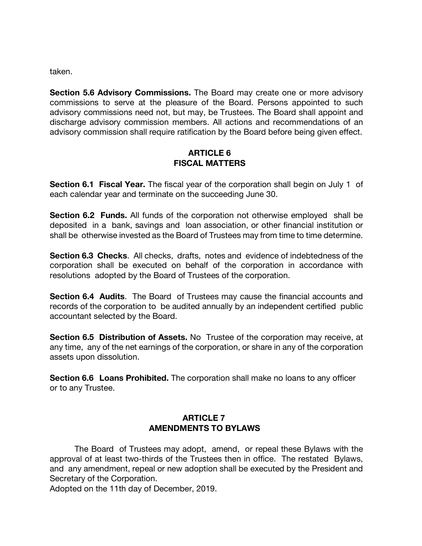taken.

**Section 5.6 Advisory Commissions.** The Board may create one or more advisory commissions to serve at the pleasure of the Board. Persons appointed to such advisory commissions need not, but may, be Trustees. The Board shall appoint and discharge advisory commission members. All actions and recommendations of an advisory commission shall require ratification by the Board before being given effect.

#### **ARTICLE 6 FISCAL MATTERS**

**Section 6.1 Fiscal Year.** The fiscal year of the corporation shall begin on July 1 of each calendar year and terminate on the succeeding June 30.

**Section 6.2 Funds.** All funds of the corporation not otherwise employed shall be deposited in a bank, savings and loan association, or other financial institution or shall be otherwise invested as the Board of Trustees may from time to time determine.

**Section 6.3 Checks**. All checks, drafts, notes and evidence of indebtedness of the corporation shall be executed on behalf of the corporation in accordance with resolutions adopted by the Board of Trustees of the corporation.

**Section 6.4 Audits**. The Board of Trustees may cause the financial accounts and records of the corporation to be audited annually by an independent certified public accountant selected by the Board.

**Section 6.5 Distribution of Assets.** No Trustee of the corporation may receive, at any time, any of the net earnings of the corporation, or share in any of the corporation assets upon dissolution.

**Section 6.6 Loans Prohibited.** The corporation shall make no loans to any officer or to any Trustee.

#### **ARTICLE 7 AMENDMENTS TO BYLAWS**

The Board of Trustees may adopt, amend, or repeal these Bylaws with the approval of at least two-thirds of the Trustees then in office. The restated Bylaws, and any amendment, repeal or new adoption shall be executed by the President and Secretary of the Corporation.

Adopted on the 11th day of December, 2019.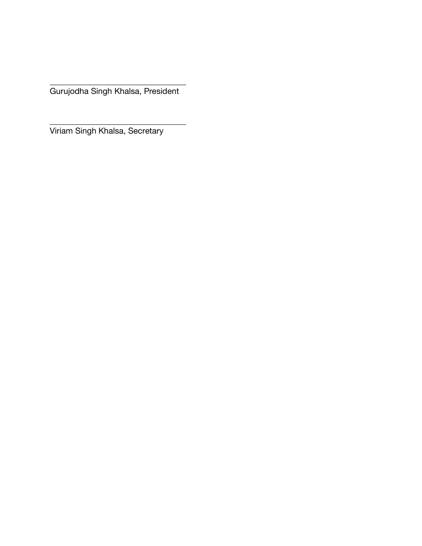Gurujodha Singh Khalsa, President

\_\_\_\_\_\_\_\_\_\_\_\_\_\_\_\_\_\_\_\_\_\_\_\_\_\_\_\_\_\_\_\_\_

\_\_\_\_\_\_\_\_\_\_\_\_\_\_\_\_\_\_\_\_\_\_\_\_\_\_\_\_\_\_\_\_\_

Viriam Singh Khalsa, Secretary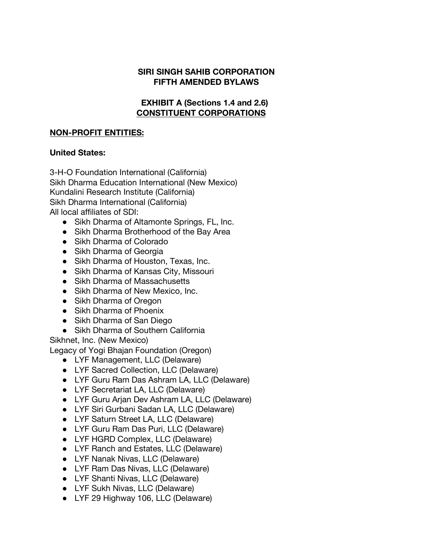#### **SIRI SINGH SAHIB CORPORATION FIFTH AMENDED BYLAWS**

#### **EXHIBIT A (Sections 1.4 and 2.6) CONSTITUENT CORPORATIONS**

#### **NON-PROFIT ENTITIES:**

#### **United States:**

3-H-O Foundation International (California) Sikh Dharma Education International (New Mexico) Kundalini Research Institute (California) Sikh Dharma International (California) All local affiliates of SDI:

- Sikh Dharma of Altamonte Springs, FL, Inc.
- Sikh Dharma Brotherhood of the Bay Area
- Sikh Dharma of Colorado
- Sikh Dharma of Georgia
- Sikh Dharma of Houston, Texas, Inc.
- Sikh Dharma of Kansas City, Missouri
- Sikh Dharma of Massachusetts
- Sikh Dharma of New Mexico, Inc.
- Sikh Dharma of Oregon
- Sikh Dharma of Phoenix
- Sikh Dharma of San Diego
- Sikh Dharma of Southern California

Sikhnet, Inc. (New Mexico)

Legacy of Yogi Bhajan Foundation (Oregon)

- LYF Management, LLC (Delaware)
- LYF Sacred Collection, LLC (Delaware)
- LYF Guru Ram Das Ashram LA, LLC (Delaware)
- LYF Secretariat LA, LLC (Delaware)
- LYF Guru Arjan Dev Ashram LA, LLC (Delaware)
- LYF Siri Gurbani Sadan LA, LLC (Delaware)
- LYF Saturn Street LA, LLC (Delaware)
- LYF Guru Ram Das Puri, LLC (Delaware)
- LYF HGRD Complex, LLC (Delaware)
- LYF Ranch and Estates, LLC (Delaware)
- LYF Nanak Nivas, LLC (Delaware)
- LYF Ram Das Nivas, LLC (Delaware)
- LYF Shanti Nivas, LLC (Delaware)
- LYF Sukh Nivas, LLC (Delaware)
- LYF 29 Highway 106, LLC (Delaware)